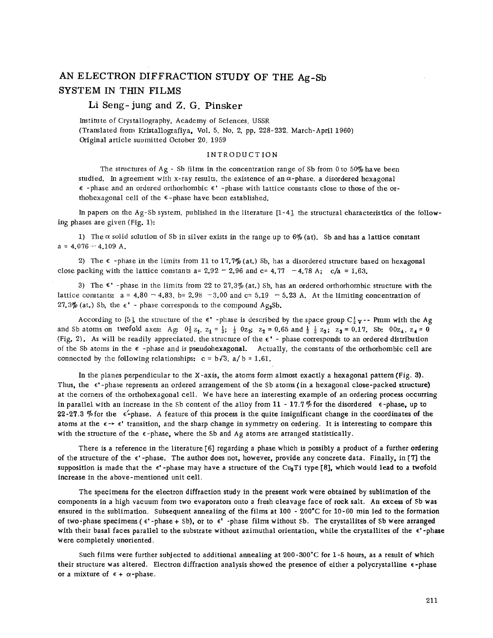## AN ELECTRON DIFFRACTION STUDY OF THE Ag-Sb SYSTEM IN THIN FILMS

## Li Seng- jung and Z. G. Pinsker

Institu te of Crystallography, Academy of Sciences, USSR (Translated from Kristallografiya, Vol. 5, No.2, pp. 228- 232, March- April 1960) Original article suomitted October 20, 1959

## INTRODUCTION

The structures of Ag - Sb films in the concentration range of Sb from 0 to 50% have been studied. In agreement with x-ray results, the existence of an  $\alpha$ -phase, a disordered hexagonal  $\epsilon$  -phase and an ordered orthorhombic  $\epsilon'$  -phase with lattice constants close to those of the orthohexagonal cell of the  $\epsilon$ -phase have been established.

In papers on the Ag-Sb system, published in the literature [1-4], the structural characteristics of the following phases are given (Fig. 1):

1) The  $\alpha$  solid solution of Sb in silver exists in the range up to  $6\%$  (at). Sb and has a lattice constant  $a = 4.076 - 4.109$  A.

2) The  $\epsilon$  -phase in the limits from 11 to 17.7% (at.) Sb, has a disordered structure based on hexagonal close packing with the lattice constants a=  $2.92 - 2.96$  and c=  $4.77 - 4.78$  A;  $c/a = 1.63$ .

3) The  $\epsilon^*$  -phase in the limits from 22 to 27.3% (at.) Sb, has an ordered orthorhombic structure with the lattice constants:  $a = 4.80 - 4.83$ ,  $b = 2.98 - 3.00$  and  $c = 5.19 - 5.23$  A. At the limiting concentration of 27.3% (at.) Sb, the  $\epsilon^*$  - phase corresponds to the compound Ag<sub>3</sub>Sb.

According to [5], the structure of the  $\epsilon'$  -phase is described by the space group  $C_2^1 \mathbf{v}$  -- Pmm with the Ag and Sb atoms on twofold axes: Ag:  $0\frac{1}{2}z_1$ ,  $z_1 = \frac{1}{2}$ ;  $\frac{1}{2}$   $0z_2$ ;  $z_2 = 0.65$  and  $\frac{1}{2}$   $\frac{1}{2}z_3$ ;  $z_3 = 0.17$ . Sb:  $00z_4$ ,  $z_4 = 0$ (Fig. 2). As will be readily appreciated, the structure of the  $\epsilon'$  - phase corresponds to an ordered distribution of the Sb atoms in the  $\epsilon$  -phase and is pseudohexagonal. Actually, the constants of the orthorhombic cell are connected by the following relationships:  $c = b\sqrt{3}$ ,  $a/b = 1.61$ .

In the planes perpendicular to the X-axis, the atoms form almost exactly a hexagonal pattern (Fig. 3). Thus, the  $\epsilon'$ -phase represents an ordered arrangement of the Sb atoms (in a hexagonal close-packed structure) at the corners of the orthohexagonal cell. We have here an interesting example of an ordering process occurring in parallel with an increase in the Sb content of the alloy from 11 - 17.7% for the disordered  $\epsilon$ -phase, up to 22-27.3 % for the  $\epsilon$ -phase. A feature of this process is the quite insignificant change in the coordinates of the atoms at the  $\epsilon \rightarrow \epsilon'$  transition, and the sharp change in symmetry on ordering. It is interesting to compare this with the structure of the  $\epsilon$ -phase, where the Sb and Ag atoms are arranged statistically.

There is a reference in the literature [6] regarding a phase which is possibly a product of a further ordering of the structure of the  $\epsilon'$ -phase. The author does not, however, provide any concrete data. Finally, in [7] the supposition is made that the  $\epsilon'$ -phase may have a structure of the Cu<sub>a</sub>Ti type [8], which would lead to a twofold increase in the above-mentioned unit cell.

The specimens for the electron diffraction study in the present work were obtained by sublimation of the components in a high vacuum from two evaporators onto a fresh cleavage face of rock salt. An excess of Sb was ensured in the sublimation. Subsequent annealing of the films at 100 - 200°C for 10-60 min led to the formation of two-phase specimens ( $\epsilon'$ -phase + Sb), or to  $\epsilon'$ -phase films without Sb. The crystallites of Sb were arranged with their basal faces parallel to the substrate without azimuthal orientation, while the crystallites of the  $\epsilon'$ -phase were completely unoriented.

Such films were further subjected to additional annealing at 200-300°C for 1-5 hours, as a result of which their structure was altered. Electron diffraction analysis showed the presence of either a polycrystalline  $\epsilon$ -phase or a mixture of  $\epsilon$  +  $\alpha$ -phase.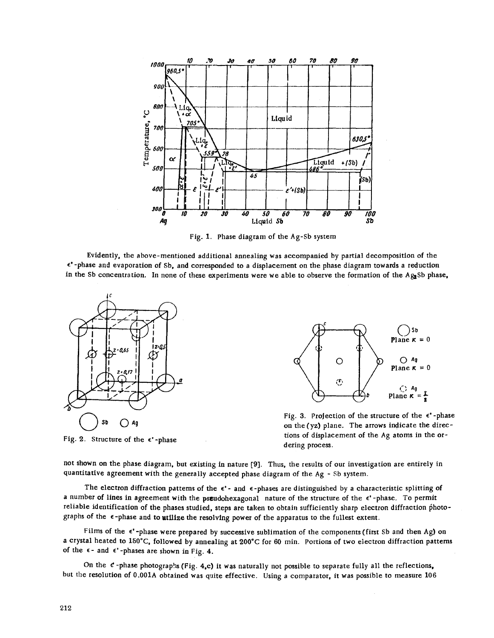

Fig. 1. Phase diagram of the Ag-Sb system

Evidently, the above-mentioned additional annealing was accompanied by partial decomposition of the E' -phase and evaporation of Sb, and corresponded to a displacement on the phase diagram towards a reduction in the Sb concentration. In none of these experiments were we able to observe the formation of the Ag<sub>3</sub>Sb phase,



Fig. 2. Structure of the  $\epsilon$ '-phase



Fig. 3. Projection of the structure of the  $\epsilon'$ -phase on the (yz) plane. The arrows indicate the directions of displacement of the Ag atoms in the ordering process.

not shown on the phase diagram, but existing in nature (9]. Thus, the results of our investigation are entirely in quantitative agreement with the generally accepted phase diagram of the Ag - Sb system.

The electron diffraction patterns of the  $\epsilon'$ - and  $\epsilon$ -phases are distinguished by a characteristic splitting of a number of lines in agreement with the pseudohexagonal nature of the structure of the  $\epsilon'$ -phase. To permit reliable identification of the phases studied, steps are taken to obtain sufficiently sharp electron diffraction photographs of the  $\epsilon$ -phase and to utilize the resolving power of the apparatus to the fullest extent.

Films of the  $\epsilon'$ -phase were prepared by successive sublimation of the components (first Sb and then Ag) on a crystal heated to 150°C, followed by annealing at 200°C for 60 min. Portions of two electron diffraction patterns of the  $\epsilon$ - and  $\epsilon$ '-phases are shown in Fig. 4.

On the  $e$ -phase photographs (Fig. 4,c) it was naturally not possible to separate fully all the reflections, but the resolution of O.OOlA obtained was quite effective. Using a comparator, it was possible to measure 106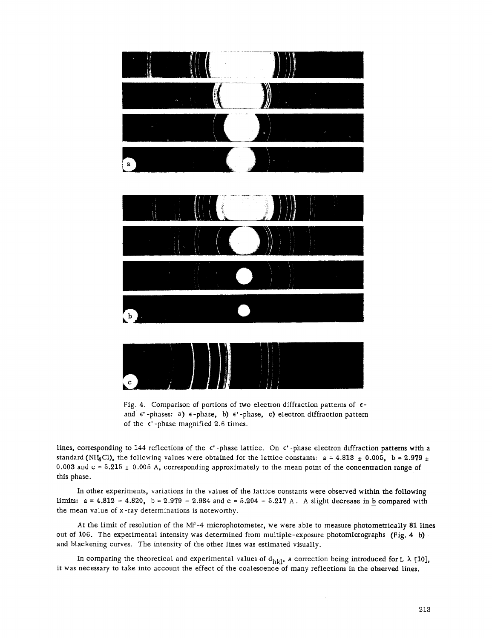



lines, corresponding to 144 reflections of the  $\epsilon'$ -phase lattice. On  $\epsilon'$ -phase electron diffraction patterns with a standard (NH<sub>4</sub>Cl), the following values were obtained for the lattice constants:  $a = 4.813 \pm 0.005$ ,  $b = 2.979 \pm 1.005$ 0.003 and  $c = 5.215 \pm 0.005$  A, corresponding approximately to the mean point of the concentration range of this phase.

In other experiments, variations in the values of the lattice constants were observed within the following limits:  $a = 4.812 - 4.820$ ,  $b = 2.979 - 2.984$  and  $c = 5.204 - 5.217$  A. A slight decrease in b compared with the mean value of x-ray determinations is noteworthy.

At the limit of resolution of the MF-4 microphotometer, we were able to measure photometrically 81 lines out of 106. The experimental intensity was determined from multiple-exposure photomicrographs (Fig. 4 b) and blackening curves. The intensity of the other lines was estimated visually.

In comparing the theoretical and experimental values of  $d_{hkl}$ , a correction being introduced for L  $\lambda$  [10], it was necessary to take into account the effect of the coalescence of many reflections in the observed lines.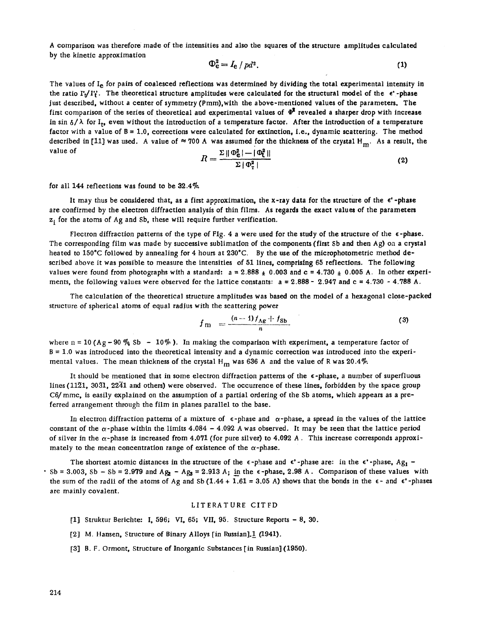A comparison was therefore made of the intensities and also the squares of the structure amplitudes calculated by the kinetic approximation

$$
\Phi_{\mathbf{e}}^2 = I_{\mathbf{e}} / \mathit{pd}^2. \tag{1}
$$

The values of I<sub>e</sub> for pairs of coalesced reflections was determined by dividing the total experimental intensity in the ratio I'<sub>r</sub>/I'. The theoretical structure amplitudes were calculated for the structural model of the  $\epsilon'$ -phase just described, without a center of symmetry (Pmm), with the above-mentioned values of the parameters. The first comparison of the series of theoretical and experimental values of  $\Phi^2$  revealed a sharper drop with increase in sin  $\delta/\lambda$  for I<sub>t</sub>, even without the introduction of a temperature factor. After the introduction of a temperature factor with a value of  $B = 1.0$ , corrections were calculated for extinction, i.e., dynamic scattering. The method described in [11] was used. A value of  $\approx 700$  A was assumed for the thickness of the crystal H<sub>m</sub>. As a result, the value of value of  $R = \frac{\sum ||\Phi_{\mathbf{e}}^2 - ||\Phi_{\mathbf{e}}^2||}{\sum |\Phi_{\mathbf{e}}^2 - \Phi_{\mathbf{e}}^2|}$ 

$$
R = \frac{\Sigma \|\Phi_{\mathbf{c}}^2\| - \|\Phi_{\mathbf{t}}^2\|}{\Sigma \|\Phi_{\mathbf{t}}^2\|} \tag{2}
$$

for all 144 reflections was found to be *32.40/0.*

It may thus be considered that, as a first approximation, the x-ray data for the structure of the  $\epsilon'$ -phase are confirmed by the electron diffraction analysis of thin films. As regards the exact values of the parameters  $z_i$  for the atoms of Ag and Sb, these will require further verification.

Flectron diffraction patterns of the type of Fig. 4 a were used for the study of the structure of the  $\epsilon$ -phase. The corresponding film was made by successive sublimation of the components (first Sb and then Ag) on a crystal heated to 150°C followed by annealing for 4 hours at 230°C. By the use of the microphotometric method described above it was possible to measure the intensities of 51 lines, comprising 65 reflections. The following values were found from photographs with a standard:  $a = 2.888 \pm 0.003$  and  $c = 4.730 \pm 0.005$  A. In other experiments, the following values were observed for the lattice constants:  $a = 2.888 - 2.947$  and  $c = 4.730 - 4.788$  A.

The calculation of the theoretical structure amplitudes was based on the model of a hexagonal close-packed structure of spherical atoms of equal radjus with the scattering power

$$
f_{\rm m} = \frac{(n-1)f_{\rm Ag} + f_{\rm Sb}}{n} \tag{3}
$$

where n = 10 (Ag - 90  $\frac{m}{4}$  Sb - 10%). In making the comparison with experiment, a temperature factor of <sup>B</sup> =1.0 was introduced into the theoretical intensity and <sup>a</sup> dynamic correction was introduced into the experimental values. The mean thickness of the crystal H<sub>m</sub> was 636 A and the value of R was 20.4%

It should be mentioned that in some electron diffraction patterns of the  $\epsilon$ -phase, a number of superfluous lines (1121, 3031, 2241 and others) were observed. The occurrence of these lines, forbidden by the space group *C6/* mmc, is easily explained on the assumption of a partial ordering of the Sb atoms, which appears as a preferred arrangement through the film in planes parallel to the base.

In electron diffraction patterns of a mixture of  $\epsilon$ -phase and  $\alpha$ -phase, a spread in the values of the lattice constant of the  $\alpha$ -phase within the limits 4.084 - 4.092 A was observed. It may be seen that the lattice period of silver in the  $\alpha$ -phase is increased from 4.071 (for pure silver) to 4.092 A. This increase corresponds approximately to the mean concentration range of existence of the  $\alpha$ -phase.

The shortest atomic distances in the structure of the  $\epsilon$ -phase and  $\epsilon'$ -phase are: in the  $\epsilon'$ -phase, Ag<sub>1</sub> - $S<sub>5</sub>$  Sb = 3.003, Sb – Sb = 2.979 and Ag<sub>2</sub> – Ag<sub>3</sub> = 2.913 A; in the  $\epsilon$ -phase, 2.98 A. Comparison of these values with the sum of the radii of the atoms of Ag and Sb (1.44 + 1.61 = 3.05 A) shows that the bonds in the  $\epsilon$ - and  $\epsilon'$ -phases are mainly covalent.

## LITERATURE CITFD

- [1] Struktur Berichte: I, 596; VI, 65; VII, 95. Structure Reports 8, 30.
- [2] M. Hansen, Structure of Binary Alloys [in Russian].1 (1941).
- [3] B. F. Drmont, Structure of Inorganic Substances [in Russian](1950).